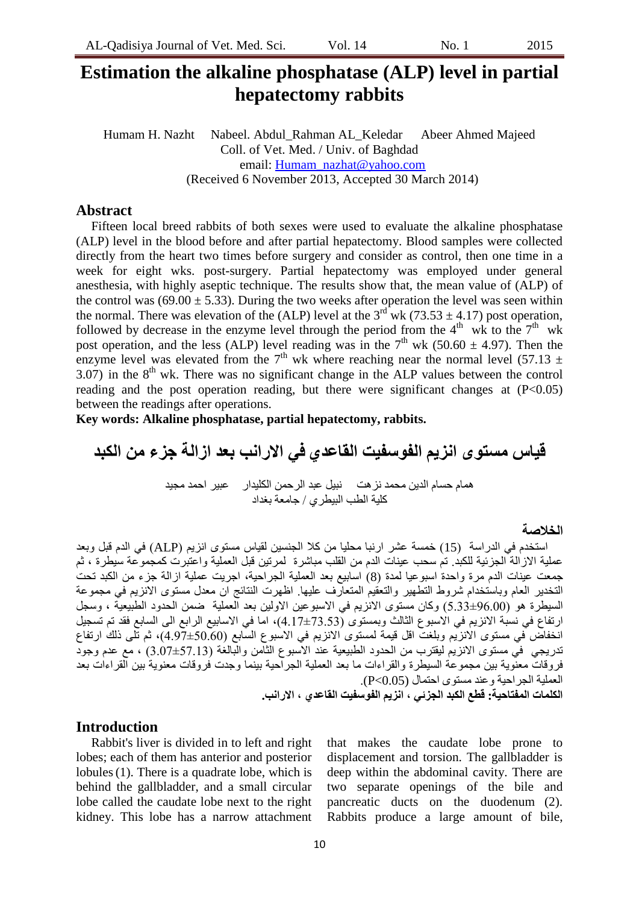# **Estimation the alkaline phosphatase (ALP) level in partial hepatectomy rabbits**

Humam H. Nazht Nabeel. Abdul\_Rahman AL\_Keledar Abeer Ahmed Majeed Coll. of Vet. Med. / Univ. of Baghdad email: [Humam\\_nazhat@yahoo.com](mailto:Humam_nazhat@yahoo.com) (Received 6 November 2013, Accepted 30 March 2014)

## **Abstract**

Fifteen local breed rabbits of both sexes were used to evaluate the alkaline phosphatase (ALP) level in the blood before and after partial hepatectomy. Blood samples were collected directly from the heart two times before surgery and consider as control, then one time in a week for eight wks. post-surgery. Partial hepatectomy was employed under general anesthesia, with highly aseptic technique. The results show that, the mean value of (ALP) of the control was (69.00  $\pm$  5.33). During the two weeks after operation the level was seen within the normal. There was elevation of the (ALP) level at the  $3<sup>rd</sup>$  wk (73.53  $\pm$  4.17) post operation, followed by decrease in the enzyme level through the period from the  $4<sup>th</sup>$  wk to the  $7<sup>th</sup>$  wk post operation, and the less (ALP) level reading was in the  $7<sup>th</sup>$  wk (50.60  $\pm$  4.97). Then the enzyme level was elevated from the 7<sup>th</sup> wk where reaching near the normal level (57.13  $\pm$  $3.07$ ) in the  $8<sup>th</sup>$  wk. There was no significant change in the ALP values between the control reading and the post operation reading, but there were significant changes at  $(P<0.05)$ between the readings after operations.

**Key words: Alkaline phosphatase, partial hepatectomy, rabbits.**

**قياس مستوى انزيم الفوسفيث القاعدي في االرانب بعد ازالة جزء من الكبد**  هًاو حساو انذٍَ يحًذ َسهد َثُم عثذ انرحًٍ انكهُذار عثُر احًذ يجُذ كهُح انطة انثُطرٌ / جايعح تغذاد

## **الخالصة**

استخدم في الدر اسة (15) خمسة عشر ار نبا محليا من كلا الجنسين لقياس مستوى انزيم (ALP) في الدم قبل وبعد عملية الازالـة الجزئية للكبد. نم سحب عينات الدم من القلب مباشرة لمرتين قبل العملية واعتبرت كمجموعة سُبطرة ، ثم جمعت عينات الدم مرة واحدة اسبوعيا لمدة (8) اسابيع بعد العملية الجراحية، اجريت عملية ازالة جزء من الكبد نحت النخدير العام وباستخدام شروط التطهير والتعقيم المتعارف عليها. اظهرت النتائج ان معدل مستوى الانزيع في مجموعة السيطرة هو (96.00±5.33) وكان مستوى الانزيم في الاسبوعين الاولين بعد العملية ضمن الحدود الطبيعيَّة ، وسجل ارنفاع في نسبة الانزيم في الاسبوع الثالث وبمستوى (73.53±4.7)، اما في الاسابيع الرابع الي السابع فقد تم تسجيل انخفاض في مستوى الآنزَيم وبلغتّ اقل قيمة لمستوى الانزيم في الاسبوع السابع (50.60±4.97)، ثم تلـى ذلك ارتفاع ندريجي في مستوى الانزيم ليقترب من الحدود الطبيعية عند الأسبوع الثامن والبالغَة (57.13±3.07) ، مع عدم وجود فروقات معنوية بين مجموعة السيطرة والقراءات ما بعد العملية الجرآحية بينما وجدت فروقات معنويةً بين القر اءات بعد العَملية الجراحية وعند مستوى احتمال (P<0.05). **الكلمات المفتاحية: قطع الكبد الجزئي ، انزيم الفوسفيث القاعدي ، االرانب.**

# **Introduction**

Rabbit's liver is divided in to left and right lobes; each of them has anterior and posterior lobules(1). There is a quadrate lobe, which is behind the gallbladder, and a small circular lobe called the caudate lobe next to the right kidney. This lobe has a narrow attachment that makes the caudate lobe prone to displacement and torsion. The gallbladder is deep within the abdominal cavity. There are two separate openings of the bile and pancreatic ducts on the duodenum (2). Rabbits produce a large amount of bile,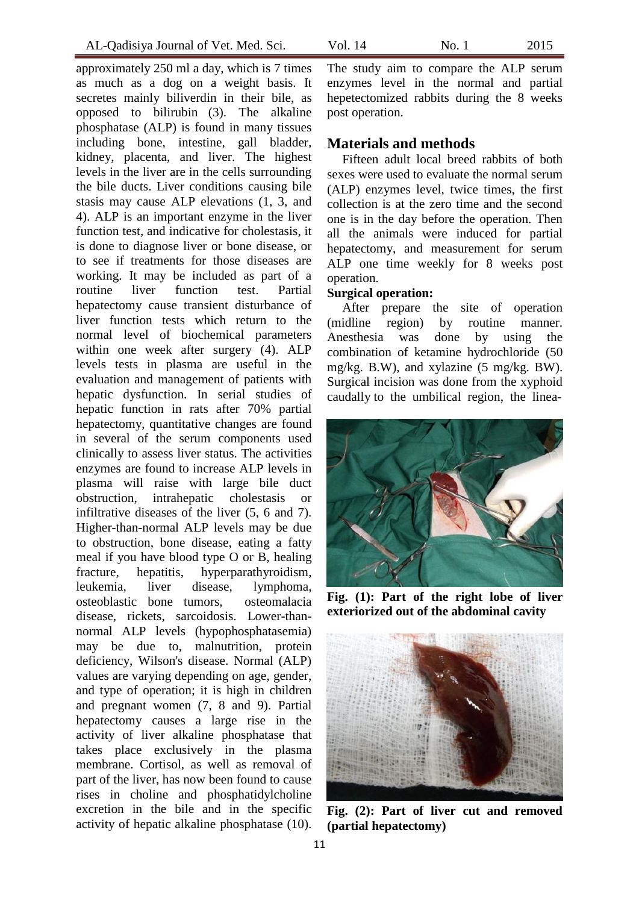approximately 250 ml a day, which is 7 times as much as a dog on a weight basis. It secretes mainly biliverdin in their bile, as opposed to bilirubin (3). The alkaline phosphatase (ALP) is found in many tissues including bone, intestine, gall bladder, kidney, placenta, and liver. The highest levels in the liver are in the cells surrounding the bile ducts. Liver conditions causing bile stasis may cause ALP elevations (1, 3, and 4). ALP is an important enzyme in the liver function test, and indicative for cholestasis, it is done to diagnose liver or bone disease, or to see if treatments for those diseases are working. It may be included as part of a routine [liver function test.](http://www.nlm.nih.gov/medlineplus/ency/article/003436.htm) Partial hepatectomy cause transient disturbance of liver function tests which return to the normal level of biochemical parameters within one week after surgery (4). ALP levels tests in plasma are useful in the evaluation and management of patients with hepatic dysfunction. In serial studies of hepatic function in rats after 70% partial hepatectomy, quantitative changes are found in several of the serum components used clinically to assess liver status. The activities enzymes are found to increase ALP levels in plasma will raise with large bile duct obstruction, intrahepatic [cholestasis](http://en.wikipedia.org/wiki/Cholestasis) or infiltrative diseases of the liver (5, 6 and 7). Higher-than-normal ALP levels may be due to obstruction, bone disease, eating a fatty meal if you have blood type O or B, healing fracture, [hepatitis,](http://www.nlm.nih.gov/medlineplus/ency/article/001154.htm) [hyperparathyroidism,](http://www.nlm.nih.gov/medlineplus/ency/article/001215.htm) leukemia, liver disease, lymphoma, osteoblastic [bone tumors,](http://www.nlm.nih.gov/medlineplus/ency/article/001230.htm) [osteomalacia](http://www.nlm.nih.gov/medlineplus/ency/article/000376.htm) disease, rickets, sarcoidosis. Lower-thannormal ALP levels (hypophosphatasemia) may be due to, malnutrition, protein deficiency, Wilson's disease. Normal (ALP) values are varying depending on age, gender, and type of operation; it is high in children and pregnant women (7, 8 and 9). Partial hepatectomy causes a large rise in the activity of liver alkaline phosphatase that takes place exclusively in the plasma membrane. Cortisol, as well as removal of part of the liver, has now been found to cause rises in choline and phosphatidylcholine excretion in the bile and in the specific activity of hepatic alkaline phosphatase (10).

The study aim to compare the ALP serum enzymes level in the normal and partial hepetectomized rabbits during the 8 weeks post operation.

# **Materials and methods**

Fifteen adult local breed rabbits of both sexes were used to evaluate the normal serum (ALP) enzymes level, twice times, the first collection is at the zero time and the second one is in the day before the operation. Then all the animals were induced for partial hepatectomy, and measurement for serum ALP one time weekly for 8 weeks post operation.

## **Surgical operation:**

After prepare the site of operation (midline region) by routine manner. Anesthesia was done by using the combination of ketamine hydrochloride (50 mg/kg. B.W), and xylazine (5 mg/kg. BW). Surgical incision was done from the xyphoid caudally to the umbilical region, the linea-



**Fig. (1): Part of the right lobe of liver exteriorized out of the abdominal cavity**



**Fig. (2): Part of liver cut and removed (partial hepatectomy)**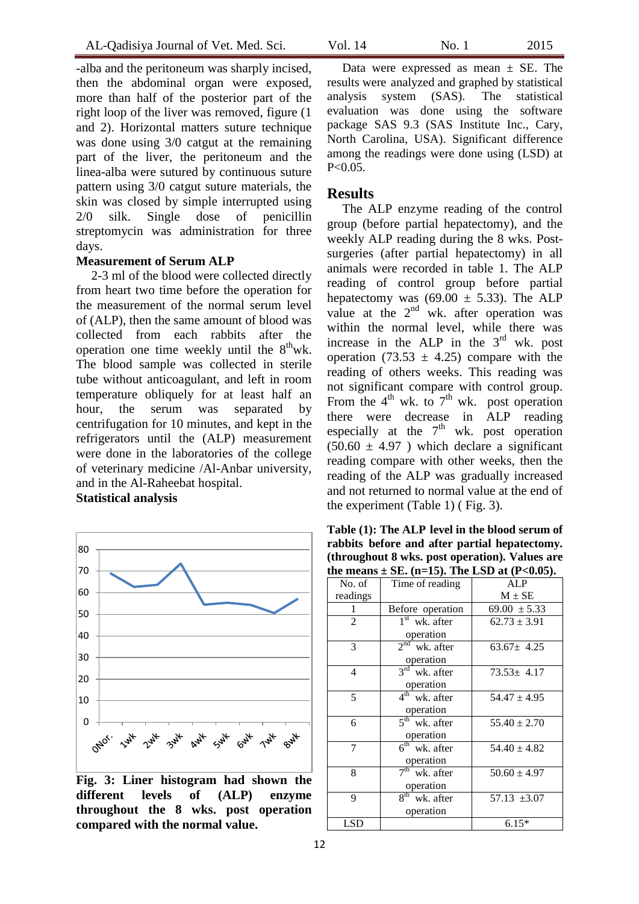-alba and the peritoneum was sharply incised, then the abdominal organ were exposed, more than half of the posterior part of the right loop of the liver was removed, figure (1 and 2). Horizontal matters suture technique was done using 3/0 catgut at the remaining part of the liver, the peritoneum and the linea-alba were sutured by continuous suture pattern using 3/0 catgut suture materials, the skin was closed by simple interrupted using 2/0 silk. Single dose of penicillin streptomycin was administration for three days.

#### **Measurement of Serum ALP**

2-3 ml of the blood were collected directly from heart two time before the operation for the measurement of the normal serum level of (ALP), then the same amount of blood was collected from each rabbits after the operation one time weekly until the  $8^{\text{th}}$  wk. The blood sample was collected in sterile tube without anticoagulant, and left in room temperature obliquely for at least half an hour, the serum was separated by centrifugation for 10 minutes, and kept in the refrigerators until the (ALP) measurement were done in the laboratories of the college of veterinary medicine /Al-Anbar university, and in the Al-Raheebat hospital.

# **Statistical analysis**



**Fig. 3: Liner histogram had shown the different levels of (ALP) enzyme throughout the 8 wks. post operation compared with the normal value.**

Data were expressed as mean  $\pm$  SE. The results were analyzed and graphed by statistical analysis system (SAS). The statistical evaluation was done using the software package SAS 9.3 (SAS Institute Inc., Cary, North Carolina, USA). Significant difference among the readings were done using (LSD) at  $P < 0.05$ .

### **Results**

The ALP enzyme reading of the control group (before partial hepatectomy), and the weekly ALP reading during the 8 wks. Postsurgeries (after partial hepatectomy) in all animals were recorded in table 1. The ALP reading of control group before partial hepatectomy was  $(69.00 \pm 5.33)$ . The ALP value at the  $2<sup>nd</sup>$  wk. after operation was within the normal level, while there was increase in the ALP in the  $3<sup>rd</sup>$  wk. post operation (73.53  $\pm$  4.25) compare with the reading of others weeks. This reading was not significant compare with control group. From the  $4^{\text{th}}$  wk. to  $7^{\text{th}}$  wk. post operation there were decrease in ALP reading especially at the  $7<sup>th</sup>$  wk. post operation  $(50.60 \pm 4.97)$  which declare a significant reading compare with other weeks, then the reading of the ALP was gradually increased and not returned to normal value at the end of the experiment (Table 1) ( Fig. 3).

**Table (1): The ALP level in the blood serum of rabbits before and after partial hepatectomy. (throughout 8 wks. post operation). Values are**  the means  $\pm$  SE. (n=15). The LSD at (P<0.05).

| No. of         | Time of reading              | ALP              |
|----------------|------------------------------|------------------|
| readings       |                              | $M \pm SE$       |
| 1              | Before operation             | $69.00 \pm 5.33$ |
| $\overline{2}$ | $1st$ wk. after              | $62.73 \pm 3.91$ |
|                | operation                    |                  |
| 3              | 2 <sup>nd</sup><br>wk. after | $63.67 \pm 4.25$ |
|                | operation                    |                  |
| $\overline{4}$ | $3^{\text{rd}}$<br>wk. after | $73.53 \pm 4.17$ |
|                | operation                    |                  |
| 5              | $4th$ wk. after              | $54.47 \pm 4.95$ |
|                | operation                    |                  |
| 6              | $5th$ wk. after              | $55.40 \pm 2.70$ |
|                | operation                    |                  |
| 7              | $6th$ wk. after              | $54.40 \pm 4.82$ |
|                | operation                    |                  |
| 8              | 7 <sup>th</sup><br>wk. after | $50.60 \pm 4.97$ |
|                | operation                    |                  |
| 9              | 8 <sup>th</sup><br>wk. after | $57.13 \pm 3.07$ |
|                | operation                    |                  |
| LSD            |                              | $6.15*$          |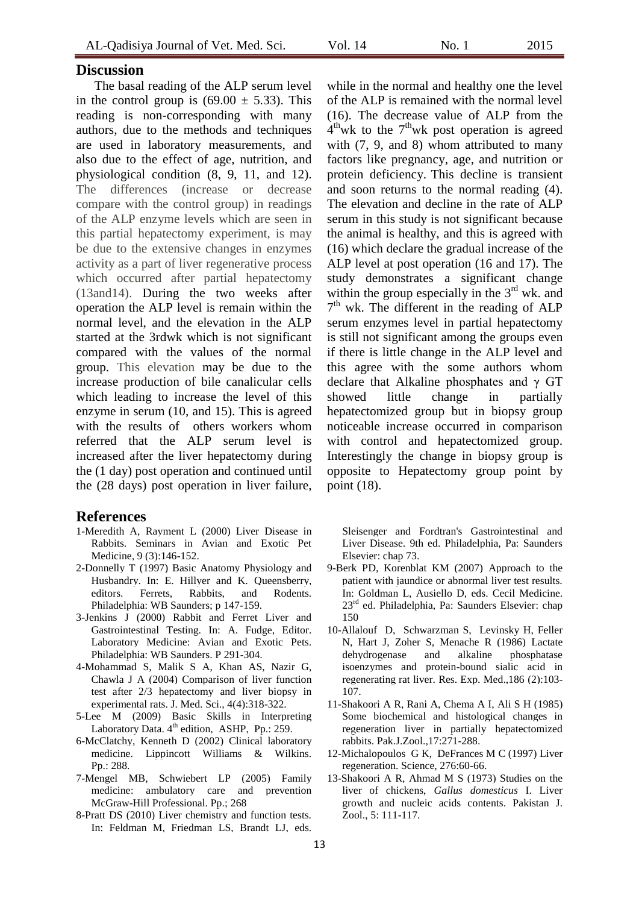## **Discussion**

The basal reading of the ALP serum level in the control group is  $(69.00 \pm 5.33)$ . This reading is non-corresponding with many authors, due to the methods and techniques are used in laboratory measurements, and also due to the effect of age, nutrition, and physiological condition (8, 9, 11, and 12). The differences (increase or decrease compare with the control group) in readings of the ALP enzyme levels which are seen in this partial hepatectomy experiment, is may be due to the extensive changes in enzymes activity as a part of liver regenerative process which occurred after partial hepatectomy (13and14). During the two weeks after operation the ALP level is remain within the normal level, and the elevation in the ALP started at the 3rdwk which is not significant compared with the values of the normal group. This elevation may be due to the increase production of bile canalicular cells which leading to increase the level of this enzyme in serum (10, and 15). This is agreed with the results of others workers whom referred that the ALP serum level is increased after the liver hepatectomy during the (1 day) post operation and continued until the (28 days) post operation in liver failure,

# **References**

- 1-Meredith A, Rayment L (2000) Liver Disease in Rabbits. Seminars in Avian and Exotic Pet Medicine, 9 (3):146-152.
- 2-Donnelly T (1997) Basic Anatomy Physiology and Husbandry. In: E. Hillyer and K. Queensberry, editors. Ferrets, Rabbits, and Rodents. Philadelphia: WB Saunders; p 147-159.
- 3-Jenkins J (2000) Rabbit and Ferret Liver and Gastrointestinal Testing. In: A. Fudge, Editor. Laboratory Medicine: Avian and Exotic Pets. Philadelphia: WB Saunders. P 291-304.
- 4-Mohammad S, Malik S A, Khan AS, Nazir G, Chawla J A (2004) Comparison of liver function test after 2/3 hepatectomy and liver biopsy in experimental rats. J. Med. Sci., 4(4):318-322.
- 5-Lee M (2009) [Basic Skills in Interpreting](http://books.google.com/books?id=AUSIRcV_as0C&pg=PA259)  [Laboratory Data.](http://books.google.com/books?id=AUSIRcV_as0C&pg=PA259) 4<sup>th</sup> edition, ASHP, Pp.: 259.
- 6-McClatchy, Kenneth D (2002) [Clinical laboratory](http://books.google.com/books?id=3PJVLH1NmQAC&pg=PA288)  [medicine.](http://books.google.com/books?id=3PJVLH1NmQAC&pg=PA288) Lippincott Williams & Wilkins. Pp.: 288.
- 7-Mengel MB, Schwiebert LP (2005) [Family](http://books.google.com/books?id=XvLo7xvmFo0C&pg=PA268)  [medicine: ambulatory care](http://books.google.com/books?id=XvLo7xvmFo0C&pg=PA268) and prevention McGraw-Hill Professional. Pp.; 268
- 8-Pratt DS (2010) Liver chemistry and function tests. In: Feldman M, Friedman LS, Brandt LJ, eds.

while in the normal and healthy one the level of the ALP is remained with the normal level (16). The decrease value of ALP from the  $4^{\text{th}}$  wk to the  $7^{\text{th}}$  wk post operation is agreed with  $(7, 9, \text{ and } 8)$  whom attributed to many factors like pregnancy, age, and nutrition or protein deficiency. This decline is transient and soon returns to the normal reading (4). The elevation and decline in the rate of ALP serum in this study is not significant because the animal is healthy, and this is agreed with (16) which declare the gradual increase of the ALP level at post operation (16 and 17). The study demonstrates a significant change within the group especially in the  $3<sup>rd</sup>$  wk. and 7<sup>th</sup> wk. The different in the reading of ALP serum enzymes level in partial hepatectomy is still not significant among the groups even if there is little change in the ALP level and this agree with the some authors whom declare that Alkaline phosphates and γ GT showed little change in partially hepatectomized group but in biopsy group noticeable increase occurred in comparison with control and hepatectomized group. Interestingly the change in biopsy group is opposite to Hepatectomy group point by point (18).

Sleisenger and Fordtran's Gastrointestinal and Liver Disease. 9th ed. Philadelphia, Pa: Saunders Elsevier: chap 73.

- 9-Berk PD, Korenblat KM (2007) Approach to the patient with jaundice or abnormal liver test results. In: Goldman L, Ausiello D, eds. Cecil Medicine. 23<sup>rd</sup> ed. Philadelphia, Pa: Saunders Elsevier: chap 150
- 10-Allalouf D, Schwarzman S, Levinsky H, Feller N, Hart J, Zoher S, Menache R (1986) Lactate dehydrogenase and alkaline phosphatase isoenzymes and protein-bound sialic acid in regenerating rat liver. Res. Exp. Med.,186 (2):103- 107.
- 11-Shakoori A R, Rani A, Chema A I, Ali S H (1985) Some biochemical and histological changes in regeneration liver in partially hepatectomized rabbits. Pak.J.Zool.,17:271-288.
- 12-Michalopoulos G K, DeFrances M C (1997) Liver regeneration. Science, 276:60-66.
- 13-Shakoori A R, Ahmad M S (1973) Studies on the liver of chickens, *Gallus domesticus* I. Liver growth and nucleic acids contents. Pakistan J. Zool., 5: 111-117.